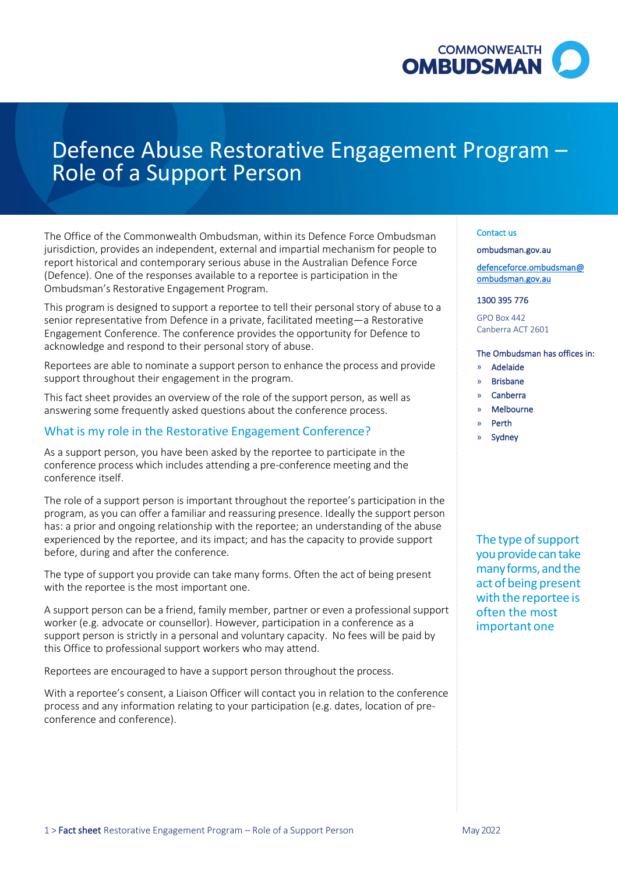

# Defence Abuse Restorative Engagement Program – Role of a Support Person

The Office of the Commonwealth Ombudsman, within its Defence Force Ombudsman jurisdiction, provides an independent, external and impartial mechanism for people to report historical and contemporary serious abuse in the Australian Defence Force (Defence). One of the responses available to a reportee is participation in the Ombudsman's Restorative Engagement Program.

This program is designed to support a reportee to tell their personal story of abuse to a senior representative from Defence in a private, facilitated meeting—a Restorative Engagement Conference. The conference provides the opportunity for Defence to acknowledge and respond to their personal story of abuse.

Reportees are able to nominate a support person to enhance the process and provide support throughout their engagement in the program.

This fact sheet provides an overview of the role of the support person, as well as answering some frequently asked questions about the conference process.

## What is my role in the Restorative Engagement Conference?

As a support person, you have been asked by the reportee to participate in the conference process which includes attending a pre-conference meeting and the conference itself.

The role of a support person is important throughout the reportee's participation in the program, as you can offer a familiar and reassuring presence. Ideally the support person has: a prior and ongoing relationship with the reportee; an understanding of the abuse experienced by the reportee, and its impact; and has the capacity to provide support before, during and after the conference.

The type of support you provide can take many forms. Often the act of being present with the reportee is the most important one.

A support person can be a friend, family member, partner or even a professional support worker (e.g. advocate or counsellor). However, participation in a conference as a support person is strictly in a personal and voluntary capacity. No fees will be paid by this Office to professional support workers who may attend.

Reportees are encouraged to have a support person throughout the process.

With a reportee's consent, a Liaison Officer will contact you in relation to the conference process and any information relating to your participation (e.g. dates, location of preconference and conference).

#### Contact us

[ombudsman.gov.au](http://www.ombudsman.gov.au/) 

[defenceforce.ombudsman@](mailto:defenceforce.ombudsman@ombudsman.gov.au)  [ombudsman.gov.au](mailto:defenceforce.ombudsman@ombudsman.gov.au) 

#### 1300 395 776

GPO Box 442 Canberra ACT 2601

#### The Ombudsman has offices in:

- » Adelaide
- » Brisbane
- » Canberra
- » Melbourne
- » Perth
- » Sydney

The type of support you provide can take many forms, and the act of being present with the reportee is often the most important one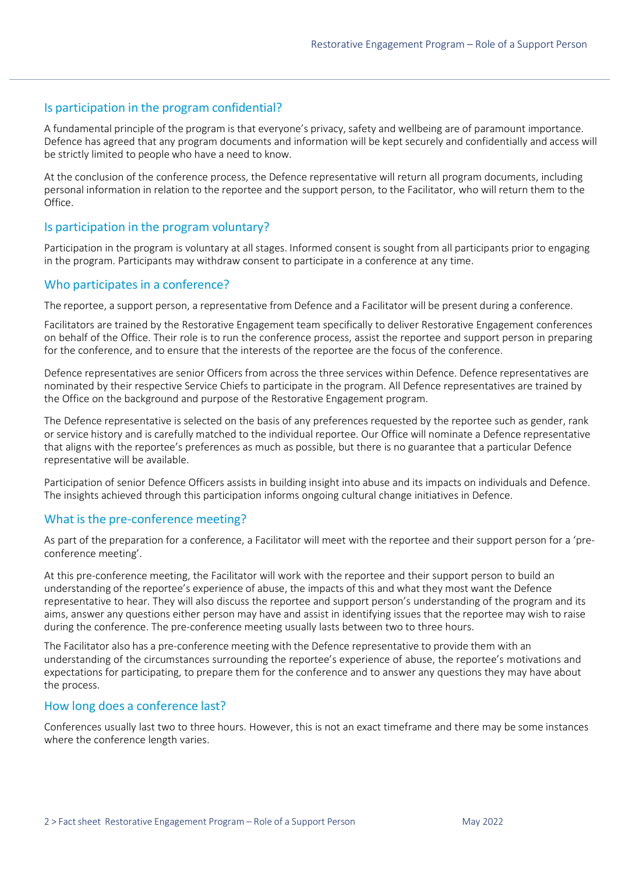## Is participation in the program confidential?

A fundamental principle of the program is that everyone's privacy, safety and wellbeing are of paramount importance. Defence has agreed that any program documents and information will be kept securely and confidentially and access will be strictly limited to people who have a need to know.

At the conclusion of the conference process, the Defence representative will return all program documents, including personal information in relation to the reportee and the support person, to the Facilitator, who will return them to the Office.

## Is participation in the program voluntary?

Participation in the program is voluntary at all stages. Informed consent is sought from all participants prior to engaging in the program. Participants may withdraw consent to participate in a conference at any time.

## Who participates in a conference?

The reportee, a support person, a representative from Defence and a Facilitator will be present during a conference.

Facilitators are trained by the Restorative Engagement team specifically to deliver Restorative Engagement conferences on behalf of the Office. Their role is to run the conference process, assist the reportee and support person in preparing for the conference, and to ensure that the interests of the reportee are the focus of the conference.

Defence representatives are senior Officers from across the three services within Defence. Defence representatives are nominated by their respective Service Chiefs to participate in the program. All Defence representatives are trained by the Office on the background and purpose of the Restorative Engagement program.

The Defence representative is selected on the basis of any preferences requested by the reportee such as gender, rank or service history and is carefully matched to the individual reportee. Our Office will nominate a Defence representative that aligns with the reportee's preferences as much as possible, but there is no guarantee that a particular Defence representative will be available.

Participation of senior Defence Officers assists in building insight into abuse and its impacts on individuals and Defence. The insights achieved through this participation informs ongoing cultural change initiatives in Defence.

## What is the pre-conference meeting?

As part of the preparation for a conference, a Facilitator will meet with the reportee and their support person for a 'preconference meeting'.

At this pre-conference meeting, the Facilitator will work with the reportee and their support person to build an understanding of the reportee's experience of abuse, the impacts of this and what they most want the Defence representative to hear. They will also discuss the reportee and support person's understanding of the program and its aims, answer any questions either person may have and assist in identifying issues that the reportee may wish to raise during the conference. The pre-conference meeting usually lasts between two to three hours.

The Facilitator also has a pre-conference meeting with the Defence representative to provide them with an understanding of the circumstances surrounding the reportee's experience of abuse, the reportee's motivations and expectations for participating, to prepare them for the conference and to answer any questions they may have about the process.

#### How long does a conference last?

Conferences usually last two to three hours. However, this is not an exact timeframe and there may be some instances where the conference length varies.